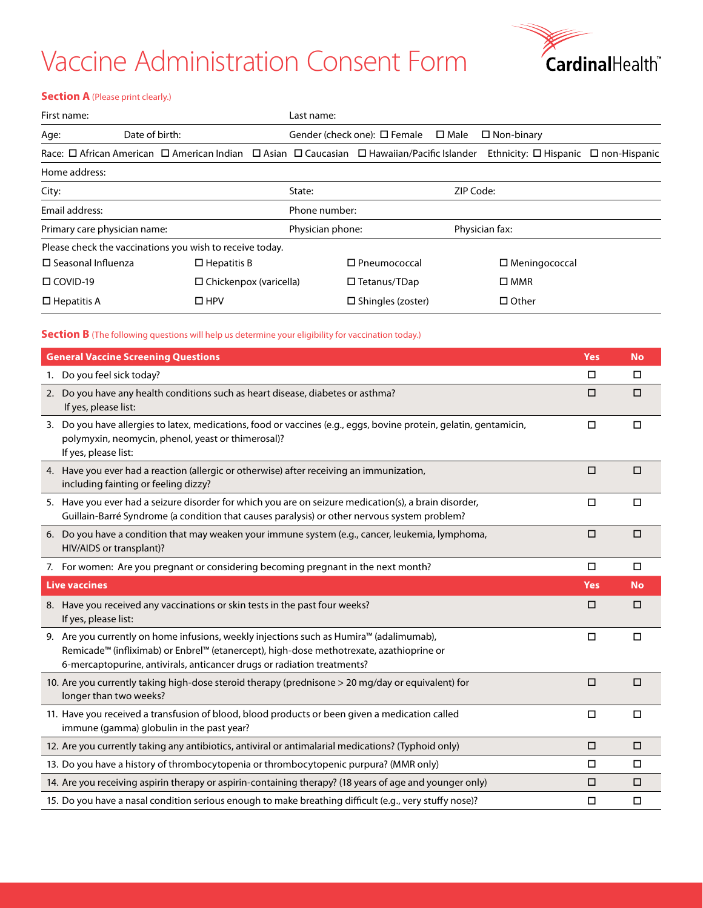## Vaccine Administration Consent Form



#### **Section A** (Please print clearly.)

| First name:                                        |                                                                                                                     | Last name: |                                      |                |                                                |  |  |  |
|----------------------------------------------------|---------------------------------------------------------------------------------------------------------------------|------------|--------------------------------------|----------------|------------------------------------------------|--|--|--|
| Age:                                               | Date of birth:                                                                                                      |            | Gender (check one): $\square$ Female | $\square$ Male | $\Box$ Non-binary                              |  |  |  |
|                                                    | Race: $\Box$ African American $\Box$ American Indian $\Box$ Asian $\Box$ Caucasian $\Box$ Hawaiian/Pacific Islander |            |                                      |                | Ethnicity: $\Box$ Hispanic $\Box$ non-Hispanic |  |  |  |
| Home address:                                      |                                                                                                                     |            |                                      |                |                                                |  |  |  |
| City:                                              |                                                                                                                     | State:     |                                      | ZIP Code:      |                                                |  |  |  |
| Email address:                                     |                                                                                                                     |            | Phone number:                        |                |                                                |  |  |  |
| Primary care physician name:                       |                                                                                                                     |            | Physician phone:                     |                | Physician fax:                                 |  |  |  |
|                                                    | Please check the vaccinations you wish to receive today.                                                            |            |                                      |                |                                                |  |  |  |
| $\square$ Seasonal Influenza<br>$\Box$ Hepatitis B |                                                                                                                     |            | $\square$ Pneumococcal               |                | $\Box$ Meningococcal                           |  |  |  |
| $\Box$ COVID-19                                    | $\Box$ Chickenpox (varicella)                                                                                       |            | $\Box$ Tetanus/TDap                  |                | $\square$ MMR                                  |  |  |  |
| $\Box$ Hepatitis A                                 | $\Box$ HPV                                                                                                          |            | $\square$ Shingles (zoster)          |                | $\Box$ Other                                   |  |  |  |

### **Section B** (The following questions will help us determine your eligibility for vaccination today.)

| <b>General Vaccine Screening Questions</b>                                                                                                                                                                                                                    | Yes        | <b>No</b> |
|---------------------------------------------------------------------------------------------------------------------------------------------------------------------------------------------------------------------------------------------------------------|------------|-----------|
| 1. Do you feel sick today?                                                                                                                                                                                                                                    | $\Box$     | $\Box$    |
| 2. Do you have any health conditions such as heart disease, diabetes or asthma?<br>If yes, please list:                                                                                                                                                       | $\Box$     | $\Box$    |
| 3. Do you have allergies to latex, medications, food or vaccines (e.g., eggs, bovine protein, gelatin, gentamicin,<br>polymyxin, neomycin, phenol, yeast or thimerosal)?<br>If yes, please list:                                                              | $\Box$     | $\Box$    |
| 4. Have you ever had a reaction (allergic or otherwise) after receiving an immunization,<br>including fainting or feeling dizzy?                                                                                                                              | $\Box$     | $\Box$    |
| 5. Have you ever had a seizure disorder for which you are on seizure medication(s), a brain disorder,<br>Guillain-Barré Syndrome (a condition that causes paralysis) or other nervous system problem?                                                         | $\Box$     | $\Box$    |
| 6. Do you have a condition that may weaken your immune system (e.g., cancer, leukemia, lymphoma,<br>HIV/AIDS or transplant)?                                                                                                                                  | $\Box$     | $\Box$    |
| 7. For women: Are you pregnant or considering becoming pregnant in the next month?                                                                                                                                                                            | $\Box$     | $\Box$    |
| <b>Live vaccines</b>                                                                                                                                                                                                                                          | <b>Yes</b> | <b>No</b> |
| 8. Have you received any vaccinations or skin tests in the past four weeks?<br>If yes, please list:                                                                                                                                                           | $\Box$     | $\Box$    |
| 9. Are you currently on home infusions, weekly injections such as Humira™ (adalimumab),<br>Remicade™ (infliximab) or Enbrel™ (etanercept), high-dose methotrexate, azathioprine or<br>6-mercaptopurine, antivirals, anticancer drugs or radiation treatments? | $\Box$     | □         |
| 10. Are you currently taking high-dose steroid therapy (prednisone > 20 mg/day or equivalent) for<br>longer than two weeks?                                                                                                                                   | $\Box$     | $\Box$    |
| 11. Have you received a transfusion of blood, blood products or been given a medication called<br>immune (gamma) globulin in the past year?                                                                                                                   | $\Box$     | $\Box$    |
| 12. Are you currently taking any antibiotics, antiviral or antimalarial medications? (Typhoid only)                                                                                                                                                           | $\Box$     | $\Box$    |
| 13. Do you have a history of thrombocytopenia or thrombocytopenic purpura? (MMR only)                                                                                                                                                                         | $\Box$     | $\Box$    |
| 14. Are you receiving aspirin therapy or aspirin-containing therapy? (18 years of age and younger only)                                                                                                                                                       | $\Box$     | □         |
| 15. Do you have a nasal condition serious enough to make breathing difficult (e.g., very stuffy nose)?                                                                                                                                                        | □          | $\Box$    |